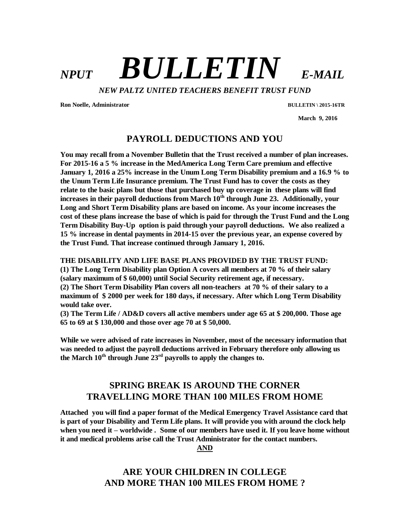# *NPUT BULLETIN E-MAIL*

*NEW PALTZ UNITED TEACHERS BENEFIT TRUST FUND*

**Ron Noelle, Administrator BULLETIN \ 2015-16TR**

 **March 9, 2016**

## **PAYROLL DEDUCTIONS AND YOU**

**You may recall from a November Bulletin that the Trust received a number of plan increases. For 2015-16 a 5 % increase in the MedAmerica Long Term Care premium and effective January 1, 2016 a 25% increase in the Unum Long Term Disability premium and a 16.9 % to the Unum Term Life Insurance premium. The Trust Fund has to cover the costs as they relate to the basic plans but those that purchased buy up coverage in these plans will find increases in their payroll deductions from March 10th through June 23. Additionally, your Long and Short Term Disability plans are based on income. As your income increases the cost of these plans increase the base of which is paid for through the Trust Fund and the Long Term Disability Buy-Up option is paid through your payroll deductions. We also realized a 15 % increase in dental payments in 2014-15 over the previous year, an expense covered by the Trust Fund. That increase continued through January 1, 2016.**

#### **THE DISABILITY AND LIFE BASE PLANS PROVIDED BY THE TRUST FUND:**

**(1) The Long Term Disability plan Option A covers all members at 70 % of their salary (salary maximum of \$ 60,000) until Social Security retirement age, if necessary. (2) The Short Term Disability Plan covers all non-teachers at 70 % of their salary to a maximum of \$ 2000 per week for 180 days, if necessary. After which Long Term Disability** 

**would take over. (3) The Term Life / AD&D covers all active members under age 65 at \$ 200,000. Those age 65 to 69 at \$ 130,000 and those over age 70 at \$ 50,000.** 

**While we were advised of rate increases in November, most of the necessary information that was needed to adjust the payroll deductions arrived in February therefore only allowing us**  the March  $10^{th}$  through June  $23^{rd}$  payrolls to apply the changes to.

# **SPRING BREAK IS AROUND THE CORNER TRAVELLING MORE THAN 100 MILES FROM HOME**

**Attached you will find a paper format of the Medical Emergency Travel Assistance card that is part of your Disability and Term Life plans. It will provide you with around the clock help when you need it – worldwide . Some of our members have used it. If you leave home without it and medical problems arise call the Trust Administrator for the contact numbers.** 

**AND**

# **ARE YOUR CHILDREN IN COLLEGE AND MORE THAN 100 MILES FROM HOME ?**